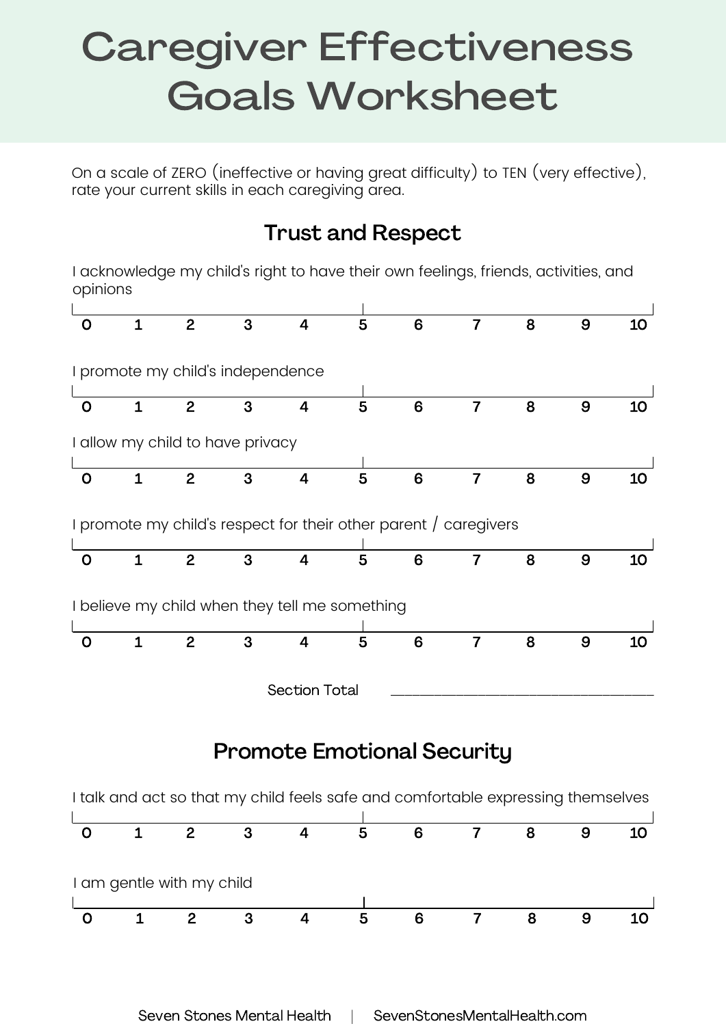## Caregiver Effectiveness Goals Worksheet

On a scale of ZERO (ineffective or having great difficulty) to TEN (very effective), rate your current skills in each caregiving area.

## Trust and Respect

I acknowledge my child's right to have their own feelings, friends, activities, and opinions

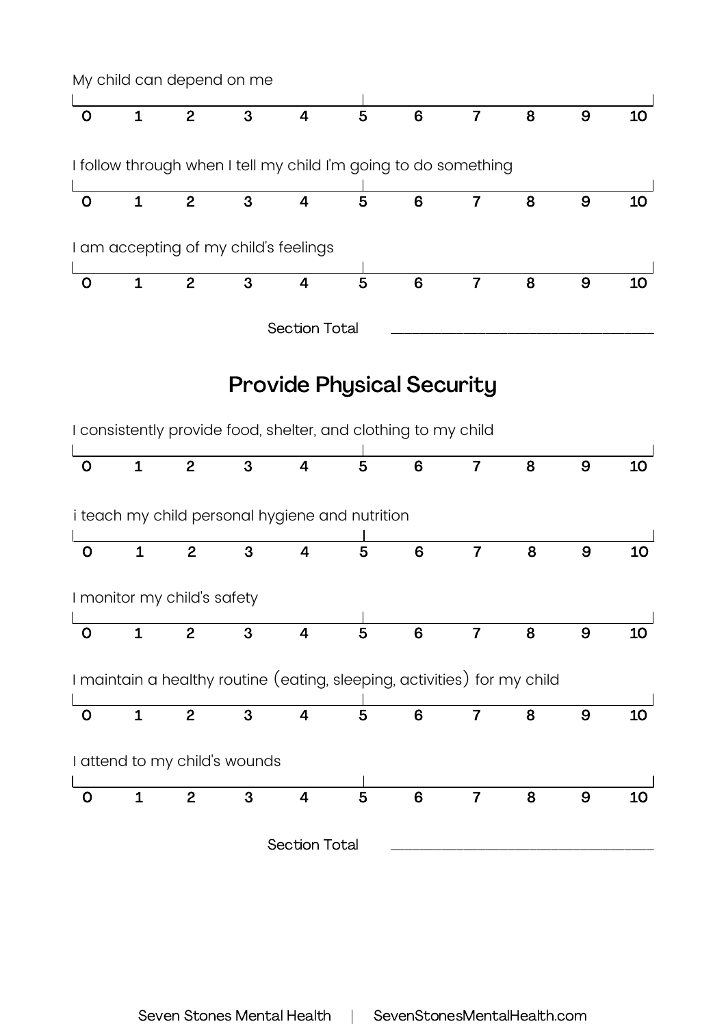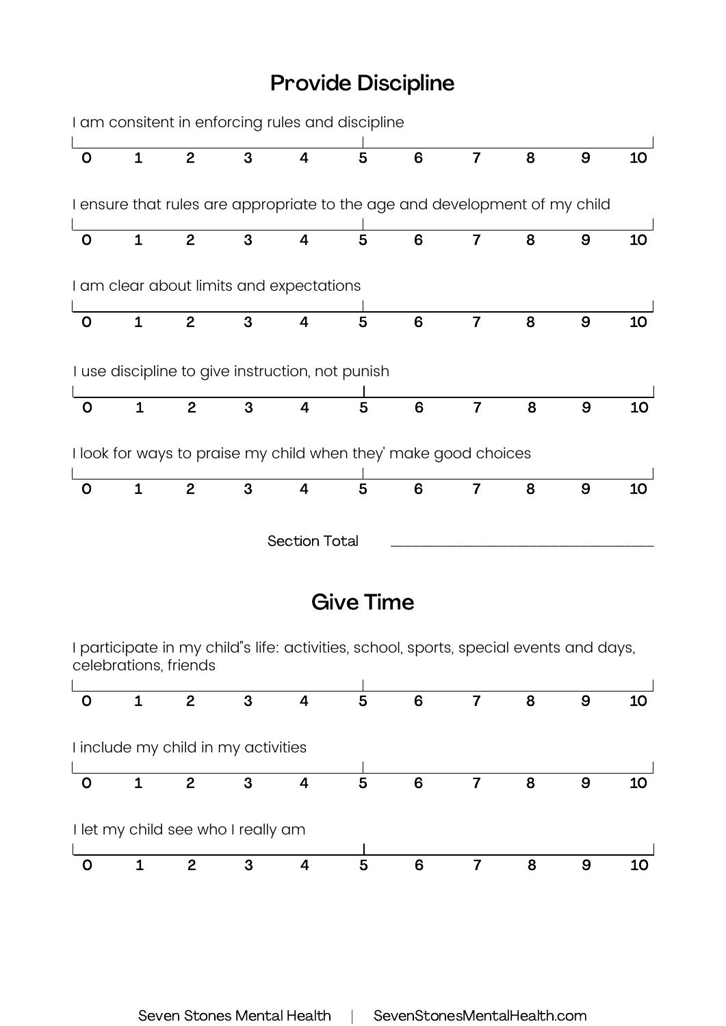## Provide Discipline



I let my child see who I really am

0 1 2 3 4 5 6 7 8 9 10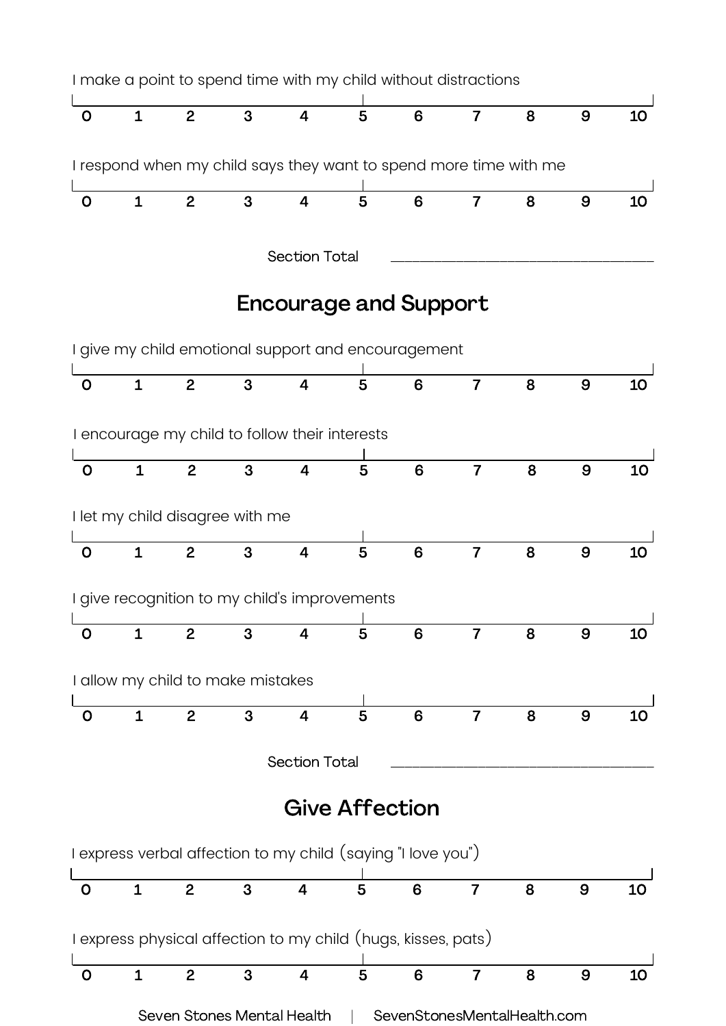

Seven Stones Mental Health | SevenStonesMentalHealth.com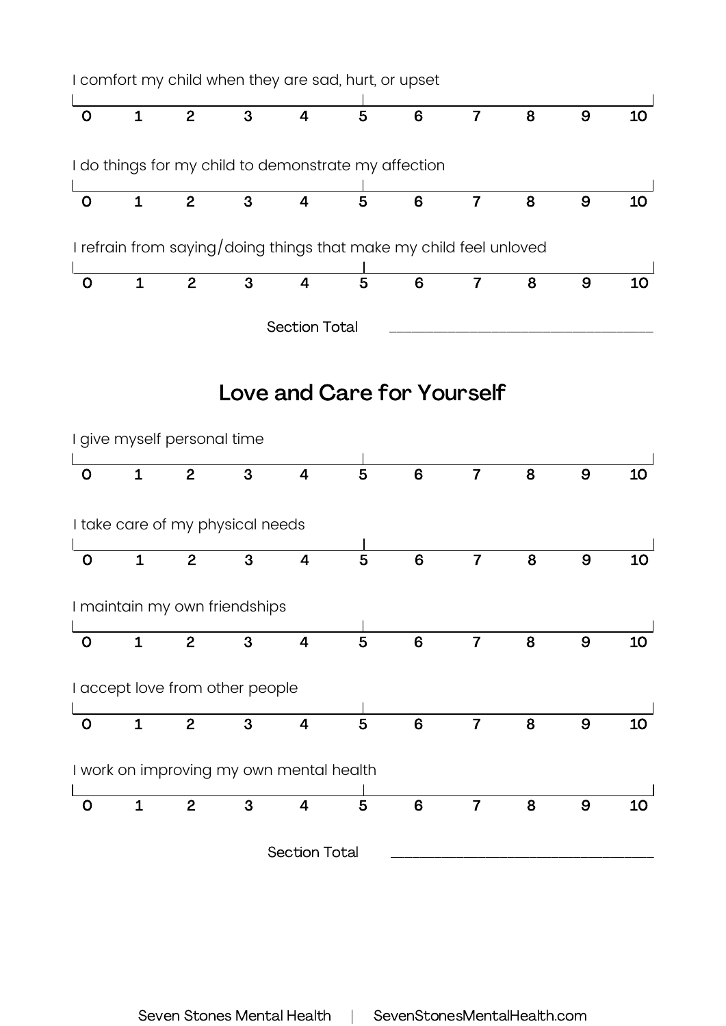